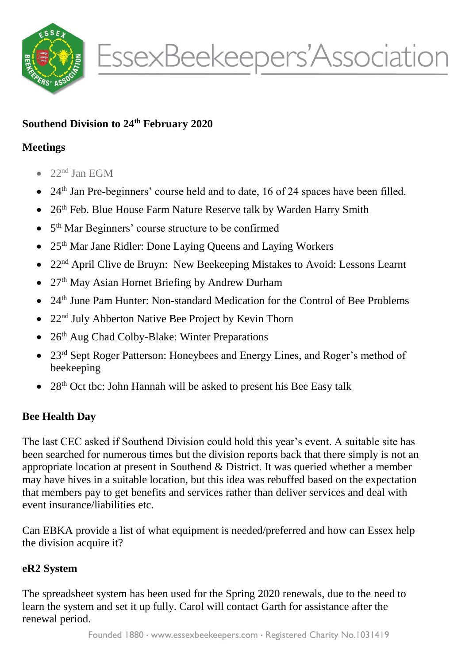

# **Southend Division to 24th February 2020**

## **Meetings**

- $\bullet$  22<sup>nd</sup> Jan EGM
- $\bullet$  24<sup>th</sup> Jan Pre-beginners' course held and to date, 16 of 24 spaces have been filled.
- 26<sup>th</sup> Feb. Blue House Farm Nature Reserve talk by Warden Harry Smith
- 5<sup>th</sup> Mar Beginners' course structure to be confirmed
- $\bullet$  25<sup>th</sup> Mar Jane Ridler: Done Laying Queens and Laying Workers
- 22<sup>nd</sup> April Clive de Bruyn: New Beekeeping Mistakes to Avoid: Lessons Learnt
- 27<sup>th</sup> May Asian Hornet Briefing by Andrew Durham
- 24th June Pam Hunter: Non-standard Medication for the Control of Bee Problems
- 22<sup>nd</sup> July Abberton Native Bee Project by Kevin Thorn
- $\bullet$  26<sup>th</sup> Aug Chad Colby-Blake: Winter Preparations
- 23<sup>rd</sup> Sept Roger Patterson: Honeybees and Energy Lines, and Roger's method of beekeeping
- $28<sup>th</sup>$  Oct tbc: John Hannah will be asked to present his Bee Easy talk

# **Bee Health Day**

The last CEC asked if Southend Division could hold this year's event. A suitable site has been searched for numerous times but the division reports back that there simply is not an appropriate location at present in Southend & District. It was queried whether a member may have hives in a suitable location, but this idea was rebuffed based on the expectation that members pay to get benefits and services rather than deliver services and deal with event insurance/liabilities etc.

Can EBKA provide a list of what equipment is needed/preferred and how can Essex help the division acquire it?

## **eR2 System**

The spreadsheet system has been used for the Spring 2020 renewals, due to the need to learn the system and set it up fully. Carol will contact Garth for assistance after the renewal period.